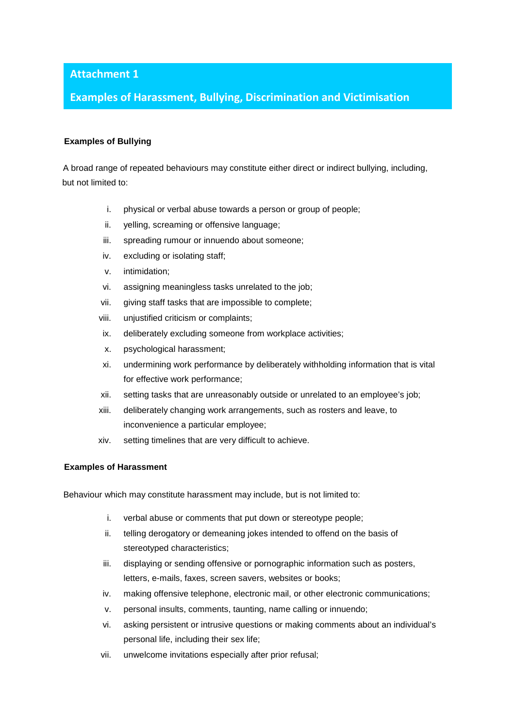### **Attachment 1**

## **Examples of Harassment, Bullying, Discrimination and Victimisation**

# **Examples of Bullying**

A broad range of repeated behaviours may constitute either direct or indirect bullying, including, but not limited to:

- i. physical or verbal abuse towards a person or group of people;
- ii. yelling, screaming or offensive language;
- iii. spreading rumour or innuendo about someone;
- iv. excluding or isolating staff;
- v. intimidation;
- vi. assigning meaningless tasks unrelated to the job;
- vii. giving staff tasks that are impossible to complete;
- viii. unjustified criticism or complaints;
- ix. deliberately excluding someone from workplace activities;
- x. psychological harassment;
- xi. undermining work performance by deliberately withholding information that is vital for effective work performance;
- xii. setting tasks that are unreasonably outside or unrelated to an employee's job;
- xiii. deliberately changing work arrangements, such as rosters and leave, to inconvenience a particular employee;
- xiv. setting timelines that are very difficult to achieve.

#### **Examples of Harassment**

Behaviour which may constitute harassment may include, but is not limited to:

- i. verbal abuse or comments that put down or stereotype people;
- ii. telling derogatory or demeaning jokes intended to offend on the basis of stereotyped characteristics;
- iii. displaying or sending offensive or pornographic information such as posters, letters, e-mails, faxes, screen savers, websites or books;
- iv. making offensive telephone, electronic mail, or other electronic communications;
- v. personal insults, comments, taunting, name calling or innuendo;
- vi. asking persistent or intrusive questions or making comments about an individual's personal life, including their sex life;
- vii. unwelcome invitations especially after prior refusal;